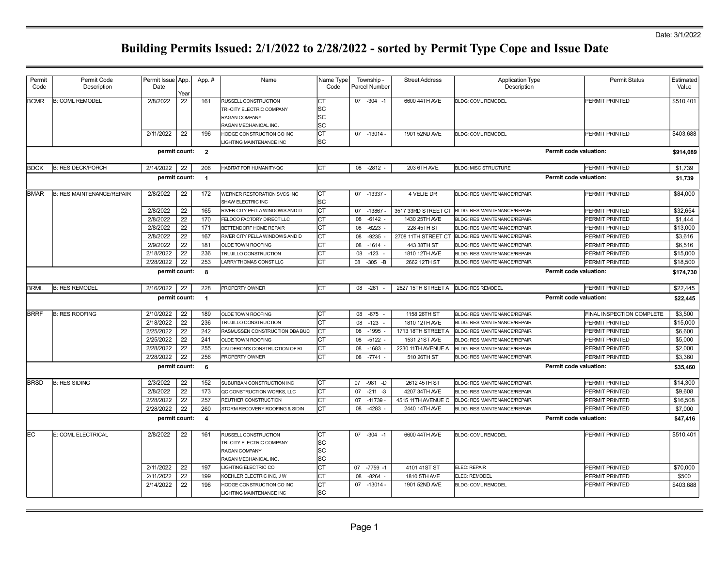| Permit      | Permit Code                      | Permit Issue App. |      | App.#                   | Name                                                  | Name Type  | Township -         | <b>Street Address</b> | <b>Application Type</b>             | <b>Permit Status</b>      | Estimated |
|-------------|----------------------------------|-------------------|------|-------------------------|-------------------------------------------------------|------------|--------------------|-----------------------|-------------------------------------|---------------------------|-----------|
| Code        | Description                      | Date              | Year |                         |                                                       | Code       | Parcel Number      |                       | Description                         |                           | Value     |
| <b>BCMR</b> | <b>B: COML REMODEL</b>           | 2/8/2022          | 22   | 161                     | RUSSELL CONSTRUCTION                                  | Iст        | $07 - 304 - 1$     | 6600 44TH AVE         | <b>BLDG: COML REMODEL</b>           | PERMIT PRINTED            | \$510,401 |
|             |                                  |                   |      |                         | TRI-CITY ELECTRIC COMPANY                             | lsc        |                    |                       |                                     |                           |           |
|             |                                  |                   |      |                         | RAGAN COMPANY                                         | lsc        |                    |                       |                                     |                           |           |
|             |                                  |                   |      |                         | RAGAN MECHANICAL INC                                  | SC         |                    |                       |                                     |                           |           |
|             |                                  | 2/11/2022         | 22   | 196                     | HODGE CONSTRUCTION CO INC<br>LIGHTING MAINTENANCE INC | lст<br>lsc | 07 -13014 -        | 1901 52ND AVE         | <b>BLDG: COML REMODEL</b>           | PERMIT PRINTED            | \$403,688 |
|             |                                  | permit count:     |      | $\overline{2}$          |                                                       |            |                    |                       |                                     | Permit code valuation:    | \$914,089 |
| <b>BDCK</b> | <b>B: RES DECK/PORCH</b>         | 2/14/2022         | 22   | 206                     | HABITAT FOR HUMANITY-QC                               | Iст        | $-2812$<br>08      | 203 6TH AVE           | <b>BLDG: MISC STRUCTURE</b>         | PERMIT PRINTED            | \$1,739   |
|             |                                  | permit count:     |      | $\overline{1}$          |                                                       |            |                    |                       |                                     | Permit code valuation:    | \$1,739   |
| <b>BMAR</b> | <b>B: RES MAINTENANCE/REPAIR</b> | 2/8/2022          | 22   | 172                     | WERNER RESTORATION SVCS INC                           | CT         | 07 -13337 -        | 4 VELIE DR            | <b>BLDG: RES MAINTENANCE/REPAIR</b> | PERMIT PRINTED            | \$84,000  |
|             |                                  |                   |      |                         | SHAW ELECTRIC INC                                     | lsc        |                    |                       |                                     |                           |           |
|             |                                  | 2/8/2022          | 22   | 165                     | RIVER CITY PELLA WINDOWS AND D                        | Iст        | 07 -13867          | 3517 33RD STREET CT   | BLDG: RES MAINTENANCE/REPAIR        | PERMIT PRINTED            | \$32,654  |
|             |                                  | 2/8/2022          | 22   | 170                     | FELDCO FACTORY DIRECT LLC                             | lст        | 08<br>$-6142$ -    | 1430 25TH AVE         | BLDG: RES MAINTENANCE/REPAIR        | PERMIT PRINTED            | \$1,444   |
|             |                                  | 2/8/2022          | 22   | 171                     | BETTENDORF HOME REPAIR                                | Iст        | 08<br>$-6223$      | 228 45TH ST           | BLDG: RES MAINTENANCE/REPAIR        | PERMIT PRINTED            | \$13,000  |
|             |                                  | 2/8/2022          | 22   | 167                     | RIVER CITY PELLA WINDOWS AND D                        | Іст        | 08<br>$-9235$      | 2708 11TH STREET CT   | BLDG: RES MAINTENANCE/REPAIR        | PERMIT PRINTED            | \$3,616   |
|             |                                  | 2/9/2022          | 22   | 181                     | OLDE TOWN ROOFING                                     | lст        | 08<br>$-1614$      | 443 38TH ST           | <b>BLDG: RES MAINTENANCE/REPAIR</b> | PERMIT PRINTED            | \$6,516   |
|             |                                  | 2/18/2022         | 22   | 236                     | TRUJILLO CONSTRUCTION                                 | lст        | 08<br>$-123$       | 1810 12TH AVE         | <b>BLDG: RES MAINTENANCE/REPAIR</b> | PERMIT PRINTED            | \$15,000  |
|             |                                  | 2/28/2022         | 22   | 253                     | LARRY THOMAS CONST LLC                                | Iст        | 08 -305 -B         | 2662 12TH ST          | <b>BLDG: RES MAINTENANCE/REPAIR</b> | PERMIT PRINTED            | \$18,500  |
|             |                                  | permit count:     |      | 8                       |                                                       |            |                    |                       |                                     | Permit code valuation:    | \$174,730 |
| <b>BRML</b> | <b>B: RES REMODEL</b>            | 2/16/2022         | 22   | 228                     | PROPERTY OWNER                                        | lст        | 08 -261            | 2827 15TH STREET A    | <b>BLDG: RES REMODEL</b>            | PERMIT PRINTED            | \$22,445  |
|             |                                  | permit count:     |      | $\overline{\mathbf{1}}$ |                                                       |            |                    |                       |                                     | Permit code valuation:    | \$22,445  |
| <b>BRRF</b> | <b>B: RES ROOFING</b>            | 2/10/2022         | 22   | 189                     | OLDE TOWN ROOFING                                     | Iст        | 08<br>$-675$       | 1158 26TH ST          | <b>BLDG: RES MAINTENANCE/REPAIR</b> | FINAL INSPECTION COMPLETE | \$3,500   |
|             |                                  | 2/18/2022         | 22   | 236                     | TRUJILLO CONSTRUCTION                                 | lст        | 08<br>$-123$       | 1810 12TH AVE         | BLDG: RES MAINTENANCE/REPAIR        | PERMIT PRINTED            | \$15,000  |
|             |                                  | 2/25/2022         | 22   | 242                     | RASMUSSEN CONSTRUCTION DBA BUC                        | Iст        | 08 -1995           | 1713 18TH STREET A    | BLDG: RES MAINTENANCE/REPAIR        | PERMIT PRINTED            | \$6,600   |
|             |                                  | 2/25/2022         | 22   | 241                     | <b>OLDE TOWN ROOFING</b>                              | lст        | 08<br>$-5122$      | 1531 21ST AVE         | BLDG: RES MAINTENANCE/REPAIR        | PERMIT PRINTED            | \$5,000   |
|             |                                  | 2/28/2022         | 22   | 255                     | CALDERON'S CONSTRUCTION OF RI                         | Iст        | 08<br>$-1683$      | 2230 11TH AVENUE A    | BLDG: RES MAINTENANCE/REPAIR        | PERMIT PRINTED            | \$2,000   |
|             |                                  | 2/28/2022         | 22   | 256                     | PROPERTY OWNER                                        | lст        | 08<br>$-7741$      | 510 26TH ST           | <b>BLDG: RES MAINTENANCE/REPAIR</b> | PERMIT PRINTED            | \$3,360   |
|             |                                  | permit count:     |      | 6                       |                                                       |            |                    |                       |                                     | Permit code valuation:    | \$35,460  |
| <b>BRSD</b> | <b>B: RES SIDING</b>             | 2/3/2022          | 22   | 152                     | SUBURBAN CONSTRUCTION INC                             | Iст        | 07<br>$-981$<br>-D | 2612 45TH ST          | BLDG: RES MAINTENANCE/REPAIR        | PERMIT PRINTED            | \$14,300  |
|             |                                  | 2/8/2022          | 22   | 173                     | QC CONSTRUCTION WORKS, LLC                            | Iст        | 07<br>$-211 - 3$   | 4207 34TH AVE         | BLDG: RES MAINTENANCE/REPAIR        | PERMIT PRINTED            | \$9,608   |
|             |                                  | 2/28/2022         | 22   | 257                     | REUTHER CONSTRUCTION                                  | Iст        | 07<br>$-11739$     | 4515 11TH AVENUE C    | BLDG: RES MAINTENANCE/REPAIR        | PERMIT PRINTED            | \$16,508  |
|             |                                  | 2/28/2022         | 22   | 260                     | STORM RECOVERY ROOFING & SIDIN                        | Іст        | 08<br>$-4283$      | 2440 14TH AVE         | BLDG: RES MAINTENANCE/REPAIR        | PERMIT PRINTED            | \$7,000   |
|             |                                  | permit count:     |      | $\overline{4}$          |                                                       |            |                    |                       |                                     | Permit code valuation:    | \$47,416  |
| IEC.        | E: COML ELECTRICAL               | 2/8/2022          | 22   | 161                     | RUSSELL CONSTRUCTION                                  | Iст        | $07 - 304 - 1$     | 6600 44TH AVE         | <b>BLDG: COML REMODEL</b>           | PERMIT PRINTED            | \$510,401 |
|             |                                  |                   |      |                         | TRI-CITY ELECTRIC COMPANY                             | lsc        |                    |                       |                                     |                           |           |
|             |                                  |                   |      |                         | RAGAN COMPANY                                         | lsc        |                    |                       |                                     |                           |           |
|             |                                  |                   |      |                         | RAGAN MECHANICAL INC.                                 | lsc        |                    |                       |                                     |                           |           |
|             |                                  | 2/11/2022         | 22   | 197                     | LIGHTING ELECTRIC CO                                  | lст        | 07 -7759 -1        | 4101 41ST ST          | ELEC: REPAIR                        | PERMIT PRINTED            | \$70,000  |
|             |                                  | 2/11/2022         | 22   | 199                     | KOEHLER ELECTRIC INC, J W                             | Iст        | 08<br>$-8264$      | 1810 5TH AVE          | ELEC: REMODEL                       | PERMIT PRINTED            | \$500     |
|             |                                  | 2/14/2022         | 22   | 196                     | HODGE CONSTRUCTION CO INC                             | Iст        | 07 -13014          | 1901 52ND AVE         | <b>BLDG: COML REMODEL</b>           | PERMIT PRINTED            | \$403,688 |
|             |                                  |                   |      |                         | LIGHTING MAINTENANCE INC                              | lsc        |                    |                       |                                     |                           |           |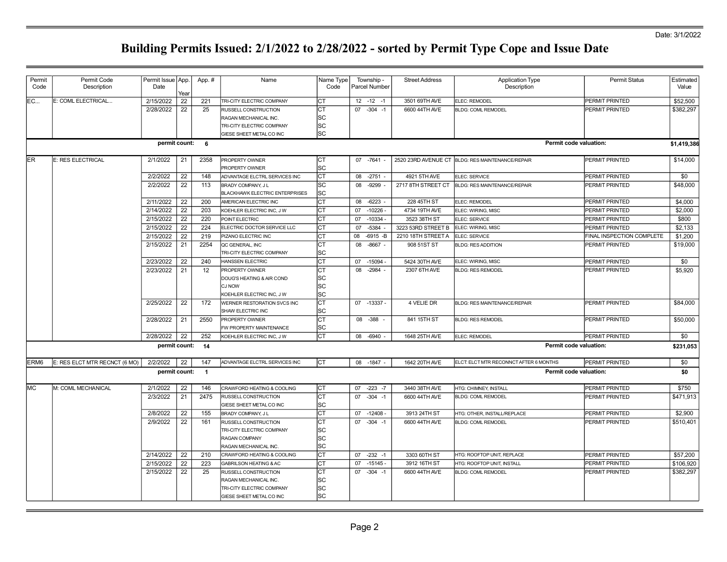| Permit           | Permit Code                   | Permit Issue App. |            | App. #         | Name                              | Name Type | Township -        | <b>Street Address</b> | <b>Application Type</b>                          | <b>Permit Status</b>          | Estimated   |
|------------------|-------------------------------|-------------------|------------|----------------|-----------------------------------|-----------|-------------------|-----------------------|--------------------------------------------------|-------------------------------|-------------|
| Code             | Description                   | Date              |            |                |                                   | Code      | Parcel Number     |                       | Description                                      |                               | Value       |
| EC               | E: COML ELECTRICAL            | 2/15/2022         | Year<br>22 | 221            | TRI-CITY ELECTRIC COMPANY         | Iст       | $12 - 12 - 1$     | 3501 69TH AVE         | ELEC: REMODEL                                    | PERMIT PRINTED                | \$52,500    |
|                  |                               | 2/28/2022         | 22         | 25             | RUSSELL CONSTRUCTION              | Iст       | $07 - 304 - 1$    | 6600 44TH AVE         | <b>BLDG: COML REMODEL</b>                        | PERMIT PRINTED                | \$382.297   |
|                  |                               |                   |            |                | RAGAN MECHANICAL INC.             | lsc       |                   |                       |                                                  |                               |             |
|                  |                               |                   |            |                | TRI-CITY ELECTRIC COMPANY         | SC.       |                   |                       |                                                  |                               |             |
|                  |                               |                   |            |                | GIESE SHEET METAL CO INC          | lsc       |                   |                       |                                                  |                               |             |
|                  |                               | permit count:     |            | 6              |                                   |           |                   |                       |                                                  | Permit code valuation:        | \$1,419,386 |
| <b>IER</b>       | E: RES ELECTRICAL             | 2/1/2022          | 21         | 2358           | PROPERTY OWNER                    | lст       | 07 -7641          |                       | 2520 23RD AVENUE CT BLDG: RES MAINTENANCE/REPAIR | PERMIT PRINTED                | \$14,000    |
|                  |                               |                   |            |                | PROPERTY OWNER                    | lsc       |                   |                       |                                                  |                               |             |
|                  |                               | 2/2/2022          | 22         | 148            | ADVANTAGE ELCTRL SERVICES INC     | Iст       | 08 -2751 -        | 4921 5TH AVE          | ELEC: SERVICE                                    | PERMIT PRINTED                | \$0         |
|                  |                               | 2/2/2022          | 22         | 113            | BRADY COMPANY, J L                | <b>SC</b> | 08 -9299          | 2717 8TH STREET CT    | BLDG: RES MAINTENANCE/REPAIR                     | PERMIT PRINTED                | \$48,000    |
|                  |                               |                   |            |                | BLACKHAWK ELECTRIC ENTERPRISES    | lsc       |                   |                       |                                                  |                               |             |
|                  |                               | 2/11/2022         | 22         | 200            | AMERICAN ELECTRIC INC             | Іст       | 08 -6223 -        | 228 45TH ST           | ELEC: REMODEL                                    | PERMIT PRINTED                | \$4,000     |
|                  |                               | 2/14/2022         | 22         | 203            | KOEHLER ELECTRIC INC, J W         | lст       | 07 -10226         | 4734 19TH AVE         | ELEC: WIRING, MISC                               | PERMIT PRINTED                | \$2,000     |
|                  |                               | 2/15/2022         | 22         | 220            | POINT ELECTRIC                    | Іст       | 07 -10334 -       | 3523 38TH ST          | ELEC: SERVICE                                    | PERMIT PRINTED                | \$800       |
|                  |                               | 2/15/2022         | 22         | 224            | ELECTRIC DOCTOR SERVICE LLC       | Iст       | $-5384 -$<br>07   | 3223 53RD STREET B    | ELEC: WIRING, MISC                               | PERMIT PRINTED                | \$2,133     |
|                  |                               | 2/15/2022         | 22         | 219            | PIZANO ELECTRIC INC               | Iст       | 08<br>$-6915 - B$ | 2210 18TH STREET A    | ELEC: SERVICE                                    | FINAL INSPECTION COMPLETE     | \$1,200     |
|                  |                               | 2/15/2022         | 21         | 2254           | QC GENERAL, INC                   | Iст       | 08<br>$-8667 -$   | 908 51ST ST           | <b>BLDG: RES ADDITION</b>                        | PERMIT PRINTED                | \$19,000    |
|                  |                               |                   |            |                | TRI-CITY ELECTRIC COMPANY         | lsc       |                   |                       |                                                  |                               |             |
|                  |                               | 2/23/2022         | 22         | 240            | <b>HANSSEN ELECTRIC</b>           | Іст       | 07 -15094         | 5424 30TH AVE         | ELEC: WIRING, MISC                               | PERMIT PRINTED                | \$0         |
|                  |                               | 2/23/2022         | 21         | 12             | PROPERTY OWNER                    | Іст       | 08 -2984          | 2307 6TH AVE          | <b>BLDG: RES REMODEL</b>                         | PERMIT PRINTED                | \$5,920     |
|                  |                               |                   |            |                | DOUG'S HEATING & AIR COND         | SC        |                   |                       |                                                  |                               |             |
|                  |                               |                   |            |                | <b>CJ NOW</b>                     | SC.       |                   |                       |                                                  |                               |             |
|                  |                               |                   |            |                | KOEHLER ELECTRIC INC, J W         | lsc       |                   |                       |                                                  |                               |             |
|                  |                               | 2/25/2022         | 22         | 172            | WERNER RESTORATION SVCS INC       | Іст       | 07 -13337         | 4 VELIE DR            | BLDG: RES MAINTENANCE/REPAIR                     | PERMIT PRINTED                | \$84,000    |
|                  |                               |                   |            |                | SHAW ELECTRIC INC                 | lsc       |                   |                       |                                                  |                               |             |
|                  |                               | 2/28/2022         | 21         | 2550           | <b>PROPERTY OWNER</b>             | lст       | 08 - 388          | 841 15TH ST           | <b>BLDG: RES REMODEL</b>                         | PERMIT PRINTED                | \$50,000    |
|                  |                               |                   |            |                | FW PROPERTY MAINTENANCE           | lsc       |                   |                       |                                                  |                               |             |
|                  |                               | 2/28/2022         | 22         | 252            | KOEHLER ELECTRIC INC, J W         | Іст       | 08 -6940 -        | 1648 25TH AVE         | ELEC: REMODEL                                    | PERMIT PRINTED                | \$0         |
|                  |                               | permit count:     |            | 14             |                                   |           |                   |                       |                                                  | Permit code valuation:        | \$231,053   |
| ERM <sub>6</sub> | E: RES ELCT MTR RECNCT (6 MO) | 2/2/2022          | 22         | 147            | ADVANTAGE ELCTRL SERVICES INC     | Iст       | 08 -1847 -        | 1642 20TH AVE         | ELCT: ELCT MTR RECONNCT AFTER 6 MONTHS           | PERMIT PRINTED                | \$0         |
|                  |                               | permit count:     |            | $\overline{1}$ |                                   |           |                   |                       |                                                  | <b>Permit code valuation:</b> | \$0         |
| MC               | M: COML MECHANICAL            | 2/1/2022          | 22         | 146            | CRAWFORD HEATING & COOLING        | Iст       | $-223 - 7$<br>07  | 3440 38TH AVE         | HTG: CHIMNEY, INSTALL                            | PERMIT PRINTED                | \$750       |
|                  |                               | 2/3/2022          | 21         | 2475           | RUSSELL CONSTRUCTION              | Iст       | 07 -304 -1        | 6600 44TH AVE         | <b>BLDG: COML REMODEL</b>                        | PERMIT PRINTED                | \$471,913   |
|                  |                               |                   |            |                | GIESE SHEET METAL CO INC          | lsc       |                   |                       |                                                  |                               |             |
|                  |                               | 2/8/2022          | 22         | 155            | BRADY COMPANY, J L                | Іст       | 07 -12408         | 3913 24TH ST          | HTG: OTHER, INSTALL/REPLACE                      | PERMIT PRINTED                | \$2,900     |
|                  |                               | 2/9/2022          | 22         | 161            | RUSSELL CONSTRUCTION              | Іст       | $07 - 304 - 1$    | 6600 44TH AVE         | <b>BLDG: COML REMODEL</b>                        | PERMIT PRINTED                | \$510.401   |
|                  |                               |                   |            |                | TRI-CITY ELECTRIC COMPANY         | SC        |                   |                       |                                                  |                               |             |
|                  |                               |                   |            |                | RAGAN COMPANY                     | SC.       |                   |                       |                                                  |                               |             |
|                  |                               |                   |            |                | RAGAN MECHANICAL INC.             | lsc       |                   |                       |                                                  |                               |             |
|                  |                               | 2/14/2022         | 22         | 210            | CRAWFORD HEATING & COOLING        | lст       | $07 -232 -1$      | 3303 60TH ST          | <b>HTG: ROOFTOP UNIT, REPLACE</b>                | PERMIT PRINTED                | \$57,200    |
|                  |                               | 2/15/2022         | 22         | 223            | <b>GABRILSON HEATING &amp; AC</b> | Іст       | 07<br>$-15145$    | 3912 16TH ST          | <b>ITG: ROOFTOP UNIT, INSTALL</b>                | PERMIT PRINTED                | \$106,920   |
|                  |                               | 2/15/2022         | 22         | 25             | RUSSELL CONSTRUCTION              | Іст       | $07 - 304 - 1$    | 6600 44TH AVE         | <b>BLDG: COML REMODEL</b>                        | PERMIT PRINTED                | \$382,297   |
|                  |                               |                   |            |                | RAGAN MECHANICAL INC.             | SC        |                   |                       |                                                  |                               |             |
|                  |                               |                   |            |                |                                   |           |                   |                       |                                                  |                               |             |
|                  |                               |                   |            |                | TRI-CITY ELECTRIC COMPANY         | SC.       |                   |                       |                                                  |                               |             |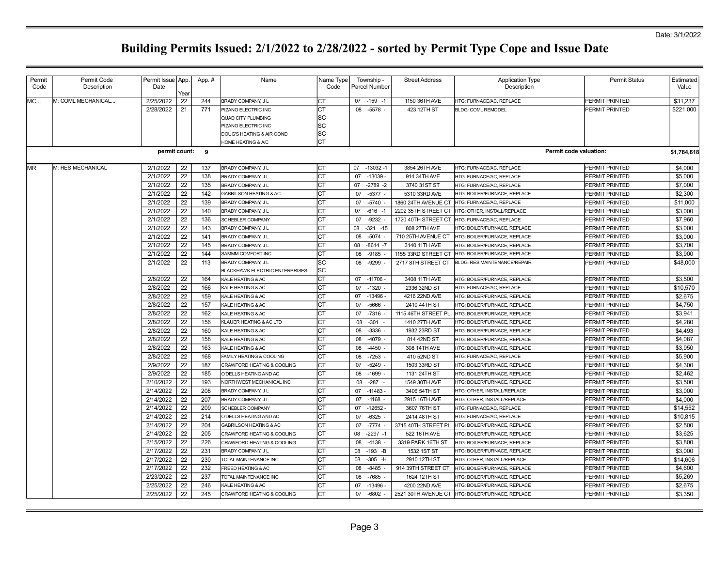| Permit<br>Code | Permit Code<br>Description | Permit Issue   App.<br>Date | Year | App.# | Name                                                        | Name Type<br>Code | Township -<br>Parcel Number | <b>Street Address</b> | Application Type<br>Description                  | <b>Permit Status</b>          | Estimated<br>Value |
|----------------|----------------------------|-----------------------------|------|-------|-------------------------------------------------------------|-------------------|-----------------------------|-----------------------|--------------------------------------------------|-------------------------------|--------------------|
| IMC            | M: COML MECHANICAL         | 2/25/2022                   | 22   | 244   | BRADY COMPANY, J L                                          | CT                | $07 - 159 - 1$              | 1150 36TH AVE         | HTG: FURNACE/AC, REPLACE                         | PERMIT PRINTED                | \$31,237           |
|                |                            | 2/28/2022                   | 21   | 771   | PIZANO ELECTRIC INC                                         | IСТ               | 08 -5578 -                  | 423 12TH ST           | <b>BLDG: COML REMODEL</b>                        | PERMIT PRINTED                | \$221,000          |
|                |                            |                             |      |       | <b>QUAD CITY PLUMBING</b>                                   | SС                |                             |                       |                                                  |                               |                    |
|                |                            |                             |      |       | PIZANO ELECTRIC INC                                         | SC                |                             |                       |                                                  |                               |                    |
|                |                            |                             |      |       | DOUG'S HEATING & AIR COND                                   | SC                |                             |                       |                                                  |                               |                    |
|                |                            |                             |      |       | HOME HEATING & A/C                                          | СT                |                             |                       |                                                  |                               |                    |
|                |                            | permit count: 9             |      |       |                                                             |                   |                             |                       |                                                  | <b>Permit code valuation:</b> | \$1,784,618        |
| IMR.           | M: RES MECHANICAL          | 2/1/2022                    | 22   | 137   | BRADY COMPANY, J L                                          | Iст               | $-13032 - 1$<br>07          | 3854 26TH AVE         | HTG: FURNACE/AC, REPLACE                         | PERMIT PRINTED                | \$4,000            |
|                |                            | 2/1/2022                    | 22   | 138   | BRADY COMPANY, J L                                          | Iст               | 07 -13039                   | 914 34TH AVE          | HTG: FURNACE/AC, REPLACE                         | PERMIT PRINTED                | \$5,000            |
|                |                            | 2/1/2022                    | 22   | 135   | BRADY COMPANY, J L                                          | СT                | 07<br>$-2789 - 2$           | 3740 31ST ST          | HTG: FURNACE/AC, REPLACE                         | PERMIT PRINTED                | \$7,000            |
|                |                            | 2/1/2022                    | 22   | 142   | <b>GABRILSON HEATING &amp; AC</b>                           | Iст               | 07<br>$-5377 -$             | 5310 33RD AVE         | HTG: BOILER/FURNACE, REPLACE                     | PERMIT PRINTED                | \$2,300            |
|                |                            | 2/1/2022                    | 22   | 139   | BRADY COMPANY, J L                                          | <b>CT</b>         | 07<br>-5740 -               | 1860 24TH AVENUE CT   | HTG: FURNACE/AC, REPLACE                         | PERMIT PRINTED                | \$11,000           |
|                |                            | 2/1/2022                    | 22   | 140   | BRADY COMPANY, J L                                          | Iст               | 07 -616 -1                  | 2202 35TH STREET CT   | HTG: OTHER, INSTALL/REPLACE                      | PERMIT PRINTED                | \$3,000            |
|                |                            | 2/1/2022                    | 22   | 136   | <b>SCHEBLER COMPANY</b>                                     | СT                | 07<br>-9232                 | 1720 40TH STREET CT   | HTG: FURNACE/AC, REPLACE                         | PERMIT PRINTED                | \$7,960            |
|                |                            | 2/1/2022                    | 22   | 143   | BRADY COMPANY, J L                                          | СT                | 08<br>$-321 - 15$           | 808 27TH AVE          | HTG: BOILER/FURNACE, REPLACE                     | PERMIT PRINTED                | \$3,000            |
|                |                            | 2/1/2022                    | 22   | 141   | BRADY COMPANY, J L                                          | СT                | 08<br>$-5074 -$             | 710 25TH AVENUE CT    | HTG: BOILER/FURNACE, REPLACE                     | PERMIT PRINTED                | \$3,000            |
|                |                            | 2/1/2022                    | 22   | 145   | BRADY COMPANY, J L                                          | СT                | 08<br>$-8614 - 7$           | 3140 11TH AVE         | HTG: BOILER/FURNACE. REPLACE                     | PERMIT PRINTED                | \$3,700            |
|                |                            | 2/1/2022                    | 22   | 144   | SAMMM COMFORT INC                                           | СT                | 08<br>$-9185 -$             | 1155 33RD STREET CT   | HTG: BOILER/FURNACE, REPLACE                     | PERMIT PRINTED                | \$3,900            |
|                |                            | 2/1/2022                    | 22   | 113   | BRADY COMPANY, J L<br><b>BLACKHAWK ELECTRIC ENTERPRISES</b> | lsc<br><b>SC</b>  | 08<br>-9299                 | 2717 8TH STREET CT    | <b>BLDG: RES MAINTENANCE/REPAIR</b>              | PERMIT PRINTED                | \$48,000           |
|                |                            | 2/8/2022                    | 22   | 164   | KALE HEATING & AC                                           | CT                | $07 - 11706$                | 3408 11TH AVE         | HTG: BOILER/FURNACE, REPLACE                     | PERMIT PRINTED                | \$3,500            |
|                |                            | 2/8/2022                    | 22   | 166   | KALE HEATING & AC                                           | CT                | 07 -1320 -                  | 2336 32ND ST          | HTG: FURNACE/AC, REPLACE                         | PERMIT PRINTED                | \$10,570           |
|                |                            | 2/8/2022                    | 22   | 159   | KALE HEATING & AC                                           | СT                | 07 -13496                   | 4216 22ND AVE         | HTG: BOILER/FURNACE. REPLACE                     | PERMIT PRINTED                | \$2,675            |
|                |                            | 2/8/2022                    | 22   | 157   | KALE HEATING & AC                                           | CT                | 07 -5666 -                  | 2410 44TH ST          | HTG: BOILER/FURNACE, REPLACE                     | PERMIT PRINTED                | \$4.750            |
|                |                            | 2/8/2022                    | 22   | 162   | KALE HEATING & AC                                           | CT                | $07 - 7316 -$               | 1115 46TH STREET PL   | HTG: BOILER/FURNACE, REPLACE                     | PERMIT PRINTED                | \$3,941            |
|                |                            | 2/8/2022                    | 22   | 156   | KLAUER HEATING & AC LTD                                     | <b>CT</b>         | 08 -301                     | 1410 27TH AVE         | HTG: BOILER/FURNACE, REPLACE                     | PERMIT PRINTED                | \$4,280            |
|                |                            | 2/8/2022                    | 22   | 160   | KALE HEATING & AC                                           | СT                | 08 -3336 -                  | 1932 23RD ST          | HTG: BOILER/FURNACE, REPLACE                     | PERMIT PRINTED                | \$4,493            |
|                |                            | 2/8/2022                    | 22   | 158   | KALE HEATING & AC                                           | CT                | 08 -4079 -                  | 814 42ND ST           | HTG: BOILER/FURNACE, REPLACE                     | PERMIT PRINTED                | \$4,087            |
|                |                            | 2/8/2022                    | 22   | 163   | KALE HEATING & AC                                           | СT                | -4450 -<br>08               | 308 14TH AVE          | HTG: BOILER/FURNACE, REPLACE                     | PERMIT PRINTED                | \$3,950            |
|                |                            | 2/8/2022                    | 22   | 168   | FAMILY HEATING & COOLING                                    | IСТ               | $-7253 -$<br>08             | 410 52ND ST           | HTG: FURNACE/AC, REPLACE                         | PERMIT PRINTED                | \$5,900            |
|                |                            | 2/9/2022                    | 22   | 187   | CRAWFORD HEATING & COOLING                                  | СT                | $-5249$ -<br>07             | 1503 33RD ST          | HTG: BOILER/FURNACE, REPLACE                     | PERMIT PRINTED                | \$4,300            |
|                |                            | 2/9/2022                    | 22   | 185   | O'DELLS HEATING AND AC                                      | CT                | 08 -1699 -                  | 1131 24TH ST          | HTG: BOILER/FURNACE, REPLACE                     | PERMIT PRINTED                | \$2,462            |
|                |                            | 2/10/2022                   | 22   | 193   | NORTHWEST MECHANICAL INC                                    | <b>CT</b>         | 08<br>-287 -                | 1549 30TH AVE         | HTG: BOILER/FURNACE, REPLACE                     | PERMIT PRINTED                | \$3,500            |
|                |                            | 2/14/2022                   | 22   | 208   | BRADY COMPANY, J L                                          | <b>CT</b>         | 07 -11483 -                 | 3406 54TH ST          | HTG: OTHER, INSTALL/REPLACE                      | PERMIT PRINTED                | \$3,000            |
|                |                            | 2/14/2022                   | 22   | 207   | BRADY COMPANY, J L                                          | СT                | $07 - 1168$                 | 2915 16TH AVE         | HTG: OTHER, INSTALL/REPLACE                      | PERMIT PRINTED                | \$4,000            |
|                |                            | 2/14/2022                   | 22   | 209   | <b>SCHEBLER COMPANY</b>                                     | CT                | 07 -12652                   | 3607 76TH ST          | HTG: FURNACE/AC, REPLACE                         | PERMIT PRINTED                | \$14,552           |
|                |                            | 2/14/2022                   | 22   | 214   | O'DELLS HEATING AND AC                                      | СT                | $-6325 -$<br>07             | 2414 48TH ST          | HTG: FURNACE/AC, REPLACE                         | PERMIT PRINTED                | \$10,815           |
|                |                            | 2/14/2022                   | 22   | 204   | GABRILSON HEATING & AC                                      | CT                | 07 -7774 -                  | 3715 40TH STREET PL   | HTG: BOILER/FURNACE, REPLACE                     | PERMIT PRINTED                | \$2,500            |
|                |                            | 2/14/2022                   | 22   | 205   | CRAWFORD HEATING & COOLING                                  | СT                | $-2297 - 1$<br>08           | 522 16TH AVE          | HTG: BOILER/FURNACE, REPLACE                     | PERMIT PRINTED                | \$3,625            |
|                |                            | 2/15/2022                   | 22   | 226   | CRAWFORD HEATING & COOLING                                  | CT                | $-4138$<br>08               | 3319 PARK 16TH ST     | HTG: BOILER/FURNACE, REPLACE                     | PERMIT PRINTED                | \$3,800            |
|                |                            | 2/17/2022                   | 22   | 231   | BRADY COMPANY, J L                                          | CT                | 08<br>$-193 - B$            | 1532 1ST ST           | HTG: BOILER/FURNACE, REPLACE                     | PERMIT PRINTED                | \$3,000            |
|                |                            | 2/17/2022                   | 22   | 230   | TOTAL MAINTENANCE INC                                       | CT                | $-305$ -H<br>08             | 2910 12TH ST          | HTG: OTHER, INSTALL/REPLACE                      | PERMIT PRINTED                | \$14,606           |
|                |                            | 2/17/2022                   | 22   | 232   | <b>FREED HEATING &amp; AC</b>                               | lст               | 08<br>$-8485 -$             | 914 39TH STREET CT    | HTG: BOILER/FURNACE, REPLACE                     | PERMIT PRINTED                | \$4,600            |
|                |                            | 2/23/2022                   | 22   | 237   | TOTAL MAINTENANCE INC                                       | CT                | 08<br>-7685 -               | 1624 12TH ST          | HTG: BOILER/FURNACE, REPLACE                     | PERMIT PRINTED                | \$5,269            |
|                |                            | 2/25/2022                   | 22   | 246   | KALE HEATING & AC                                           | СT                | 07<br>$-13496$              | 4200 22ND AVE         | HTG: BOILER/FURNACE, REPLACE                     | PERMIT PRINTED                | \$2,675            |
|                |                            | 2/25/2022                   | 22   | 245   | CRAWFORD HEATING & COOLING                                  | Iст               | 07<br>$-6802 -$             |                       | 2521 30TH AVENUE CT HTG: BOILER/FURNACE, REPLACE | PERMIT PRINTED                | \$3,350            |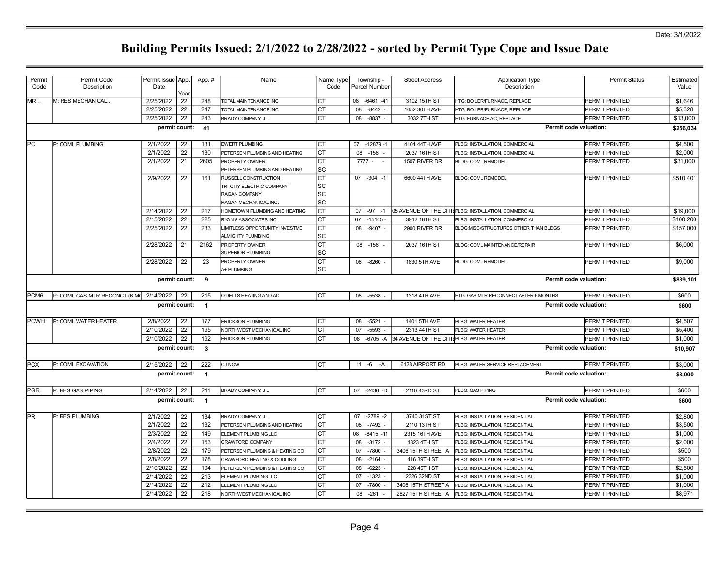| Permit<br>Code   | Permit Code<br>Description              | Permit Issue App.<br>Date |            | App. #                  | Name                                                   | Name Type<br>Code | Township -<br>Parcel Number | <b>Street Address</b>                                | <b>Application Type</b><br>Description               | <b>Permit Status</b>          | Estimated<br>Value |
|------------------|-----------------------------------------|---------------------------|------------|-------------------------|--------------------------------------------------------|-------------------|-----------------------------|------------------------------------------------------|------------------------------------------------------|-------------------------------|--------------------|
| IMR              | M: RES MECHANICAL                       | 2/25/2022                 | Year<br>22 | 248                     | TOTAL MAINTENANCE INC                                  | Iст               | 08 -6461 -41                | 3102 15TH ST                                         | <b>ITG: BOILER/FURNACE, REPLACE</b>                  | PERMIT PRINTED                | \$1,646            |
|                  |                                         | 2/25/2022                 | 22         | 247                     | TOTAL MAINTENANCE INC                                  | Iст               | 08<br>$-8442 -$             | 1652 30TH AVE                                        | <b>HTG: BOILER/FURNACE, REPLACE</b>                  | PERMIT PRINTED                | \$5,328            |
|                  |                                         | 2/25/2022                 | 22         | 243                     | BRADY COMPANY, J L                                     | Iст               | 08<br>$-8837 -$             | 3032 7TH ST                                          | HTG: FURNACE/AC, REPLACE                             | PERMIT PRINTED                | \$13,000           |
|                  |                                         | permit count:             |            | 41                      |                                                        |                   |                             |                                                      |                                                      | Permit code valuation:        | \$256,034          |
|                  |                                         |                           |            |                         |                                                        |                   |                             |                                                      |                                                      |                               |                    |
| <b>PC</b>        | P: COML PLUMBING                        | 2/1/2022                  | 22         | 131                     | <b>EWERT PLUMBING</b>                                  | Iст               | 07 -12879 -1                | 4101 44TH AVE                                        | PLBG: INSTALLATION, COMMERCIAL                       | PERMIT PRINTED                | \$4,500            |
|                  |                                         | 2/1/2022                  | 22         | 130                     | PETERSEN PLUMBING AND HEATING                          | Іст               | 08<br>$-156$                | 2037 16TH ST                                         | PLBG: INSTALLATION, COMMERCIAL                       | PERMIT PRINTED                | \$2,000            |
|                  |                                         | 2/1/2022                  | 21         | 2605                    | PROPERTY OWNER                                         | IСТ               | $7777 -$                    | 1507 RIVER DR                                        | BLDG: COML REMODEL                                   | PERMIT PRINTED                | \$31,000           |
|                  |                                         |                           |            |                         | PETERSEN PLUMBING AND HEATING                          | lsc               |                             |                                                      |                                                      |                               |                    |
|                  |                                         | 2/9/2022                  | 22         | 161                     | RUSSELL CONSTRUCTION                                   | Іст               | 07 -304 -1                  | 6600 44TH AVE                                        | <b>BLDG: COML REMODEL</b>                            | PERMIT PRINTED                | \$510,401          |
|                  |                                         |                           |            |                         | TRI-CITY ELECTRIC COMPANY                              | SC                |                             |                                                      |                                                      |                               |                    |
|                  |                                         |                           |            |                         | RAGAN COMPANY                                          | lsc               |                             |                                                      |                                                      |                               |                    |
|                  |                                         | 2/14/2022                 | 22         | 217                     | RAGAN MECHANICAL INC.<br>HOMETOWN PLUMBING AND HEATING | lsc<br>Іст        | $07 - 97 - 1$               |                                                      | 05 AVENUE OF THE CITI[PLBG: INSTALLATION, COMMERCIAL | PERMIT PRINTED                | \$19,000           |
|                  |                                         | 2/15/2022                 | 22         | 225                     | RYAN & ASSOCIATES INC                                  | Iст               | $07 - 15145$                | 3912 16TH ST                                         | PLBG: INSTALLATION, COMMERCIAL                       | PERMIT PRINTED                | \$100,200          |
|                  |                                         | 2/25/2022                 | 22         | 233                     | IMITLESS OPPORTUNITY INVESTME                          | Iст               | 08 -9407 -                  | 2900 RIVER DR                                        | BLDG:MISC/STRUCTURES OTHER THAN BLDGS                | PERMIT PRINTED                | \$157,000          |
|                  |                                         |                           |            |                         | <b>ALMIGHTY PLUMBING</b>                               | lsc               |                             |                                                      |                                                      |                               |                    |
|                  |                                         | 2/28/2022                 | 21         | 2162                    | PROPERTY OWNER                                         | lст               | 08 -156                     | 2037 16TH ST                                         | BLDG: COML MAINTENANCE/REPAIR                        | PERMIT PRINTED                | \$6,000            |
|                  |                                         |                           |            |                         | <b>SUPERIOR PLUMBING</b>                               | lsc               |                             |                                                      |                                                      |                               |                    |
|                  |                                         | 2/28/2022                 | 22         | 23                      | PROPERTY OWNER                                         | Iст               | 08 -8260 -                  | 1830 5TH AVE                                         | <b>BLDG: COML REMODEL</b>                            | PERMIT PRINTED                | \$9,000            |
|                  |                                         |                           |            |                         | A+ PLUMBING                                            | lsc               |                             |                                                      |                                                      |                               |                    |
|                  |                                         | permit count:             |            | 9                       |                                                        |                   |                             |                                                      |                                                      | Permit code valuation:        | \$839,101          |
| PCM <sub>6</sub> | P: COML GAS MTR RECONCT (6 MC 2/14/2022 |                           | 22         | 215                     | O'DELLS HEATING AND AC                                 | Iст               | 08 -5538                    | 1318 4TH AVE                                         | HTG: GAS MTR RECONNECT AFTER 6 MONTHS                | PERMIT PRINTED                | \$600              |
|                  |                                         | permit count:             |            | $\overline{1}$          |                                                        |                   |                             |                                                      |                                                      | <b>Permit code valuation:</b> | \$600              |
| <b>PCWH</b>      | P: COML WATER HEATER                    | 2/8/2022                  | 22         | 177                     | <b>ERICKSON PLUMBING</b>                               | Iст               | 08 -5521 -                  | 1401 5TH AVE                                         | PLBG: WATER HEATER                                   | PERMIT PRINTED                | \$4,507            |
|                  |                                         | 2/10/2022                 | 22         | 195                     | NORTHWEST MECHANICAL INC                               | Iст               | 07 -5593 -                  | 2313 44TH ST                                         | PLBG: WATER HEATER                                   | PERMIT PRINTED                | \$5,400            |
|                  |                                         | 2/10/2022                 | 22         | 192                     | <b>ERICKSON PLUMBING</b>                               | Iст               |                             | 08 -6705 -A 34 AVENUE OF THE CITIEPLBG: WATER HEATER |                                                      | PERMIT PRINTED                | \$1,000            |
|                  |                                         | permit count:             |            | 3                       |                                                        |                   |                             |                                                      |                                                      | Permit code valuation:        | \$10,907           |
| <b>PCX</b>       | P: COML EXCAVATION                      | 2/15/2022                 | 22         | 222                     | <b>CJ NOW</b>                                          | Iст               | $11 - 6 - A$                | 6128 AIRPORT RD                                      | PLBG: WATER SERVICE REPLACEMENT                      | PERMIT PRINTED                | \$3,000            |
|                  |                                         | permit count:             |            | $\mathbf{1}$            |                                                        |                   |                             |                                                      |                                                      | Permit code valuation:        | \$3,000            |
| PGR              | P: RES GAS PIPING                       | 2/14/2022                 | 22         | 211                     | BRADY COMPANY, J L                                     | Iст               | 07 -2436 -D                 | 2110 43RD ST                                         | PLBG: GAS PIPING                                     | PERMIT PRINTED                | \$600              |
|                  |                                         | permit count:             |            | $\overline{\mathbf{1}}$ |                                                        |                   |                             |                                                      |                                                      | Permit code valuation:        | \$600              |
| <b>PR</b>        | P: RES PLUMBING                         | 2/1/2022                  | 22         | 134                     | <b>BRADY COMPANY, J L</b>                              | Iст               | 07 -2789 -2                 | 3740 31ST ST                                         | PLBG: INSTALLATION, RESIDENTIAL                      | PERMIT PRINTED                | \$2,800            |
|                  |                                         | 2/1/2022                  | 22         | 132                     | PETERSEN PLUMBING AND HEATING                          | Iст               | $-7492$ -<br>08             | 2110 13TH ST                                         | PLBG: INSTALLATION, RESIDENTIAL                      | PERMIT PRINTED                | \$3,500            |
|                  |                                         | 2/3/2022                  | 22         | 149                     | ELEMENT PLUMBING LLC                                   | Іст               | $-8415 - 11$<br>08          | 2315 16TH AVE                                        | PLBG: INSTALLATION, RESIDENTIAL                      | PERMIT PRINTED                | \$1,000            |
|                  |                                         | 2/4/2022                  | 22         | 153                     | CRAWFORD COMPANY                                       | Іст               | 08 -3172 -                  | 1823 4TH ST                                          | PLBG: INSTALLATION, RESIDENTIAL                      | PERMIT PRINTED                | \$2,000            |
|                  |                                         | 2/8/2022                  | 22         | 179                     | PETERSEN PLUMBING & HEATING CO                         | Iст               | $-7800$ .<br>07             | 3406 15TH STREET A                                   | PLBG: INSTALLATION, RESIDENTIAL                      | PERMIT PRINTED                | \$500              |
|                  |                                         | 2/8/2022                  | 22         | 178                     | CRAWFORD HEATING & COOLING                             | Iст               | 08 -2164 -                  | 416 39TH ST                                          | PLBG: INSTALLATION, RESIDENTIAL                      | PERMIT PRINTED                | \$500              |
|                  |                                         | 2/10/2022                 | 22         | 194                     | PETERSEN PLUMBING & HEATING CO                         | Iст               | $-6223$<br>08               | 228 45TH ST                                          | PLBG: INSTALLATION, RESIDENTIAL                      | PERMIT PRINTED                | \$2,500            |
|                  |                                         | 2/14/2022                 | 22         | 213                     | ELEMENT PLUMBING LLC                                   | Іст               | $-1323$ .<br>07             | 2326 32ND ST                                         | PLBG: INSTALLATION, RESIDENTIAL                      | PERMIT PRINTED                | \$1,000            |
|                  |                                         | 2/14/2022                 | 22         | 212                     | ELEMENT PLUMBING LLC                                   | Iст               | $-7800$<br>07               | 3406 15TH STREET A                                   | PLBG: INSTALLATION, RESIDENTIAL                      | PERMIT PRINTED                | \$1,000            |
|                  |                                         | 2/14/2022                 | 22         | 218                     | NORTHWEST MECHANICAL INC                               | СT                | $-261$<br>08                | 2827 15TH STREET A                                   | PLBG: INSTALLATION, RESIDENTIAL                      | PERMIT PRINTED                | \$8,971            |